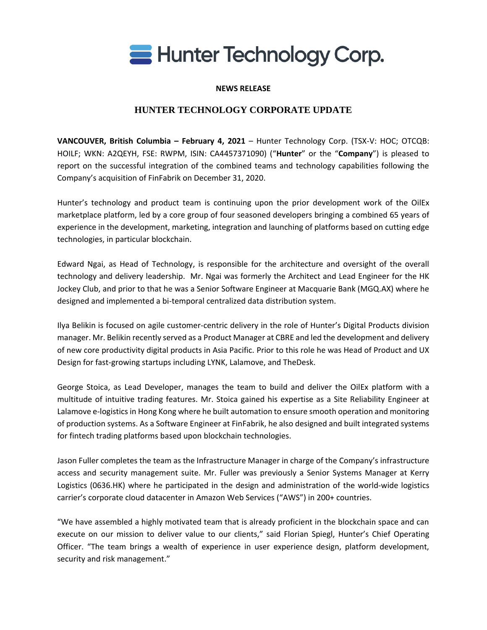

### **NEWS RELEASE**

# **HUNTER TECHNOLOGY CORPORATE UPDATE**

**VANCOUVER, British Columbia – February 4, 2021** – Hunter Technology Corp. (TSX-V: HOC; OTCQB: HOILF; WKN: A2QEYH, FSE: RWPM, ISIN: CA4457371090) ("**Hunter**" or the "**Company**") is pleased to report on the successful integration of the combined teams and technology capabilities following the Company's acquisition of FinFabrik on December 31, 2020.

Hunter's technology and product team is continuing upon the prior development work of the OilEx marketplace platform, led by a core group of four seasoned developers bringing a combined 65 years of experience in the development, marketing, integration and launching of platforms based on cutting edge technologies, in particular blockchain.

Edward Ngai, as Head of Technology, is responsible for the architecture and oversight of the overall technology and delivery leadership. Mr. Ngai was formerly the Architect and Lead Engineer for the HK Jockey Club, and prior to that he was a Senior Software Engineer at Macquarie Bank (MGQ.AX) where he designed and implemented a bi-temporal centralized data distribution system.

Ilya Belikin is focused on agile customer-centric delivery in the role of Hunter's Digital Products division manager. Mr. Belikin recently served as a Product Manager at CBRE and led the development and delivery of new core productivity digital products in Asia Pacific. Prior to this role he was Head of Product and UX Design for fast-growing startups including LYNK, Lalamove, and TheDesk.

George Stoica, as Lead Developer, manages the team to build and deliver the OilEx platform with a multitude of intuitive trading features. Mr. Stoica gained his expertise as a Site Reliability Engineer at Lalamove e-logistics in Hong Kong where he built automation to ensure smooth operation and monitoring of production systems. As a Software Engineer at FinFabrik, he also designed and built integrated systems for fintech trading platforms based upon blockchain technologies.

Jason Fuller completes the team as the Infrastructure Manager in charge of the Company's infrastructure access and security management suite. Mr. Fuller was previously a Senior Systems Manager at Kerry Logistics (0636.HK) where he participated in the design and administration of the world-wide logistics carrier's corporate cloud datacenter in Amazon Web Services ("AWS") in 200+ countries.

"We have assembled a highly motivated team that is already proficient in the blockchain space and can execute on our mission to deliver value to our clients," said Florian Spiegl, Hunter's Chief Operating Officer. "The team brings a wealth of experience in user experience design, platform development, security and risk management."